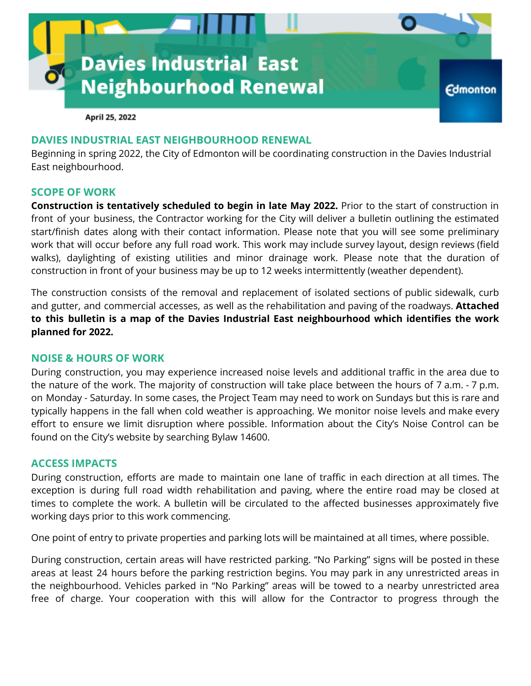

April 25, 2022

## **DAVIES INDUSTRIAL EAST NEIGHBOURHOOD RENEWAL**

Beginning in spring 2022, the City of Edmonton will be coordinating construction in the Davies Industrial East neighbourhood.

### **SCOPE OF WORK**

**Construction is tentatively scheduled to begin in late May 2022.** Prior to the start of construction in front of your business, the Contractor working for the City will deliver a bulletin outlining the estimated start/finish dates along with their contact information. Please note that you will see some preliminary work that will occur before any full road work. This work may include survey layout, design reviews (field walks), daylighting of existing utilities and minor drainage work. Please note that the duration of construction in front of your business may be up to 12 weeks intermittently (weather dependent).

The construction consists of the removal and replacement of isolated sections of public sidewalk, curb and gutter, and commercial accesses, as well as the rehabilitation and paving of the roadways. **Attached to this bulletin is a map of the Davies Industrial East neighbourhood which identifies the work planned for 2022.**

#### **NOISE & HOURS OF WORK**

During construction, you may experience increased noise levels and additional traffic in the area due to the nature of the work. The majority of construction will take place between the hours of 7 a.m. - 7 p.m. on Monday - Saturday. In some cases, the Project Team may need to work on Sundays but this is rare and typically happens in the fall when cold weather is approaching. We monitor noise levels and make every effort to ensure we limit disruption where possible. Information about the City's Noise Control can be found on the City's website by searching Bylaw 14600.

### **ACCESS IMPACTS**

During construction, efforts are made to maintain one lane of traffic in each direction at all times. The exception is during full road width rehabilitation and paving, where the entire road may be closed at times to complete the work. A bulletin will be circulated to the affected businesses approximately five working days prior to this work commencing.

One point of entry to private properties and parking lots will be maintained at all times, where possible.

During construction, certain areas will have restricted parking. "No Parking" signs will be posted in these areas at least 24 hours before the parking restriction begins. You may park in any unrestricted areas in the neighbourhood. Vehicles parked in "No Parking" areas will be towed to a nearby unrestricted area free of charge. Your cooperation with this will allow for the Contractor to progress through the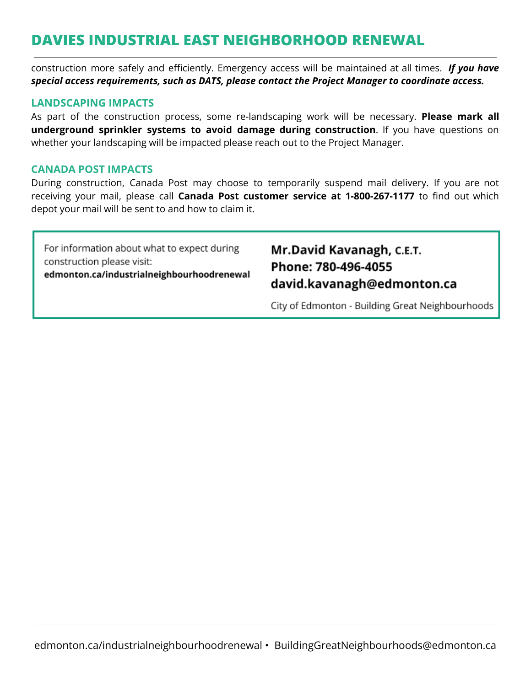# **DAVIES INDUSTRIAL EAST NEIGHBORHOOD RENEWAL**

construction more safely and efficiently. Emergency access will be maintained at all times. *If you have special access requirements, such as DATS, please contact the Project Manager to coordinate access.*

### **LANDSCAPING IMPACTS**

As part of the construction process, some re-landscaping work will be necessary. **Please mark all underground sprinkler systems to avoid damage during construction**. If you have questions on whether your landscaping will be impacted please reach out to the Project Manager.

### **CANADA POST IMPACTS**

During construction, Canada Post may choose to temporarily suspend mail delivery. If you are not receiving your mail, please call **Canada Post customer service at 1-800-267-1177** to find out which depot your mail will be sent to and how to claim it.

For information about what to expect during construction please visit: edmonton.ca/industrialneighbourhoodrenewal

# Mr.David Kavanagh, C.E.T. Phone: 780-496-4055 david.kavanagh@edmonton.ca

City of Edmonton - Building Great Neighbourhoods